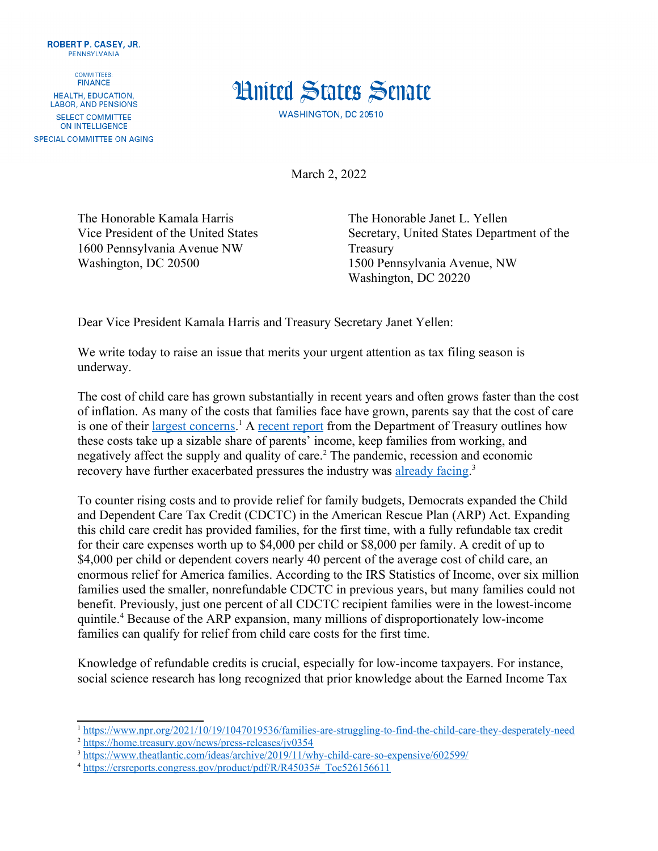

**COMMITTEES: FINANCE** HEALTH, EDUCATION, **LABOR, AND PENSIONS** SELECT COMMITTEE ON INTELLIGENCE SPECIAL COMMITTEE ON AGING



<span id="page-0-4"></span>March 2, 2022

The Honorable Kamala Harris The Honorable Janet L. Yellen 1600 Pennsylvania Avenue NW Treasury Washington, DC 20500 1500 Pennsylvania Avenue, NW

Vice President of the United States Secretary, United States Department of the Washington, DC 20220

Dear Vice President Kamala Harris and Treasury Secretary Janet Yellen:

We write today to raise an issue that merits your urgent attention as tax filing season is underway.

<span id="page-0-0"></span>The cost of child care has grown substantially in recent years and often grows faster than the cost of inflation. As many of the costs that families face have grown, parents say that the cost of care is one of their [largest concerns](https://www.npr.org/2021/10/19/1047019536/families-are-struggling-to-find-the-child-care-they-desperately-need).<sup>[1](#page-0-1)</sup> A [recent report](https://home.treasury.gov/news/press-releases/jy0354) from the Department of Treasury outlines how these costs take up a sizable share of parents' income, keep families from working, and negatively affect the supply and quality of care.<sup>[2](#page-0-3)</sup> The pandemic, recession and economic recovery have further exacerbated pressures the industry was [already facing](https://www.theatlantic.com/ideas/archive/2019/11/why-child-care-so-expensive/602599/).<sup>3</sup>

<span id="page-0-2"></span>To counter rising costs and to provide relief for family budgets, Democrats expanded the Child and Dependent Care Tax Credit (CDCTC) in the American Rescue Plan (ARP) Act. Expanding this child care credit has provided families, for the first time, with a fully refundable tax credit for their care expenses worth up to \$4,000 per child or \$8,000 per family. A credit of up to \$4,000 per child or dependent covers nearly 40 percent of the average cost of child care, an enormous relief for America families. According to the IRS Statistics of Income, over six million families used the smaller, nonrefundable CDCTC in previous years, but many families could not benefit. Previously, just one percent of all CDCTC recipient families were in the lowest-income quintile.<sup>[4](#page-0-7)</sup> Because of the ARP expansion, many millions of disproportionately low-income families can qualify for relief from child care costs for the first time.

<span id="page-0-6"></span>Knowledge of refundable credits is crucial, especially for low-income taxpayers. For instance, social science research has long recognized that prior knowledge about the Earned Income Tax

<span id="page-0-1"></span>[<sup>1</sup>](#page-0-0) <https://www.npr.org/2021/10/19/1047019536/families-are-struggling-to-find-the-child-care-they-desperately-need>

<span id="page-0-3"></span>[<sup>2</sup>](#page-0-2) <https://home.treasury.gov/news/press-releases/jy0354>

<span id="page-0-5"></span><sup>&</sup>lt;sup>[3](#page-0-4)</sup> https://www.theatlantic.com/ideas/archive/2019/11/why-child-care-so-expensive/602599/

<span id="page-0-7"></span><sup>&</sup>lt;sup>[4](#page-0-6)</sup> https://crsreports.congress.gov/product/pdf/R/R45035# Toc526156611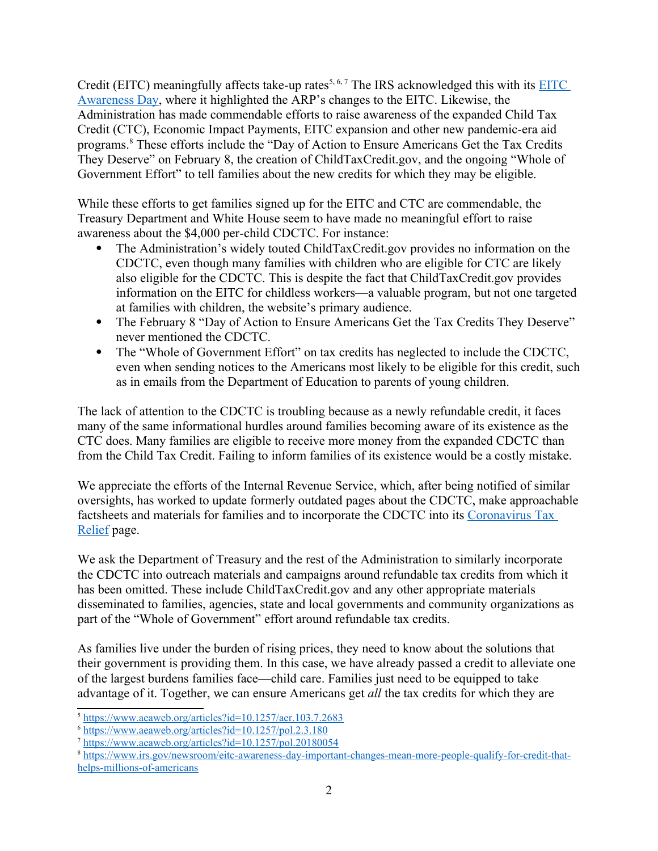<span id="page-1-6"></span><span id="page-1-4"></span><span id="page-1-2"></span><span id="page-1-0"></span>Credit(EITC) meaningfully affects take-up rates<sup>5, [6,](#page-1-3) 7</sup> The IRS acknowledged this with its  $EITC$ [Awareness Day,](https://www.irs.gov/newsroom/eitc-awareness-day-important-changes-mean-more-people-qualify-for-credit-that-helps-millions-of-americans) where it highlighted the ARP's changes to the EITC. Likewise, the Administration has made commendable efforts to raise awareness of the expanded Child Tax Credit (CTC), Economic Impact Payments, EITC expansion and other new pandemic-era aid programs[.8](#page-1-7) These efforts include the "Day of Action to Ensure Americans Get the Tax Credits They Deserve" on February 8, the creation of [ChildTaxCredit.gov](https://ChildTaxCredit.gov), and the ongoing "Whole of Government Effort" to tell families about the new credits for which they may be eligible.

While these efforts to get families signed up for the EITC and CTC are commendable, the Treasury Department and White House seem to have made no meaningful effort to raise awareness about the \$4,000 per-child CDCTC. For instance:

- The Administration's widely touted [ChildTaxCredit.gov](https://ChildTaxCredit.gov) provides no information on the CDCTC, even though many families with children who are eligible for CTC are likely also eligible for the CDCTC. This is despite the fact that [ChildTaxCredit.gov](https://ChildTaxCredit.gov) provides information on the EITC for childless workers—a valuable program, but not one targeted at families with children, the website's primary audience.
- The February 8 "Day of Action to Ensure Americans Get the Tax Credits They Deserve" never mentioned the CDCTC.
- The "Whole of Government Effort" on tax credits has neglected to include the CDCTC, even when sending notices to the Americans most likely to be eligible for this credit, such as in emails from the Department of Education to parents of young children.

The lack of attention to the CDCTC is troubling because as a newly refundable credit, it faces many of the same informational hurdles around families becoming aware of its existence as the CTC does. Many families are eligible to receive more money from the expanded CDCTC than from the Child Tax Credit. Failing to inform families of its existence would be a costly mistake.

We appreciate the efforts of the Internal Revenue Service, which, after being notified of similar oversights, has worked to update formerly outdated pages about the CDCTC, make approachable factsheets and materials for families and to incorporate the CDCTC into its [Coronavirus Tax](https://www.irs.gov/coronavirus-tax-relief-and-economic-impact-payments)  [Relief](https://www.irs.gov/coronavirus-tax-relief-and-economic-impact-payments) page.

We ask the Department of Treasury and the rest of the Administration to similarly incorporate the CDCTC into outreach materials and campaigns around refundable tax credits from which it has been omitted. These include [ChildTaxCredit.gov](https://ChildTaxCredit.gov) and any other appropriate materials disseminated to families, agencies, state and local governments and community organizations as part of the "Whole of Government" effort around refundable tax credits.

As families live under the burden of rising prices, they need to know about the solutions that their government is providing them. In this case, we have already passed a credit to alleviate one of the largest burdens families face—child care. Families just need to be equipped to take advantage of it. Together, we can ensure Americans get *all* the tax credits for which they are

<span id="page-1-1"></span>[<sup>5</sup>](#page-1-0) <https://www.aeaweb.org/articles?id=10.1257/aer.103.7.2683>

<span id="page-1-3"></span>[<sup>6</sup>](#page-1-2) <https://www.aeaweb.org/articles?id=10.1257/pol.2.3.180>

<span id="page-1-5"></span> $\frac{7 \text{ https://www.aeaweb.org/articles?id=10.1257/pol.20180054}}{2 \text{ https://www.aeaweb.org/articles?id=10.1257/pol.20180054}}$  $\frac{7 \text{ https://www.aeaweb.org/articles?id=10.1257/pol.20180054}}{2 \text{ https://www.aeaweb.org/articles?id=10.1257/pol.20180054}}$  $\frac{7 \text{ https://www.aeaweb.org/articles?id=10.1257/pol.20180054}}{2 \text{ https://www.aeaweb.org/articles?id=10.1257/pol.20180054}}$  $\frac{7 \text{ https://www.aeaweb.org/articles?id=10.1257/pol.20180054}}{2 \text{ https://www.aeaweb.org/articles?id=10.1257/pol.20180054}}$  $\frac{7 \text{ https://www.aeaweb.org/articles?id=10.1257/pol.20180054}}{2 \text{ https://www.aeaweb.org/articles?id=10.1257/pol.20180054}}$ 

<span id="page-1-7"></span>[<sup>8</sup>](#page-1-6) [https://www.irs.gov/newsroom/eitc-awareness-day-important-changes-mean-more-people-qualify-for-credit-that](https://www.irs.gov/newsroom/eitc-awareness-day-important-changes-mean-more-people-qualify-for-credit-that-helps-millions-of-americans)[helps-millions-of-americans](https://www.irs.gov/newsroom/eitc-awareness-day-important-changes-mean-more-people-qualify-for-credit-that-helps-millions-of-americans)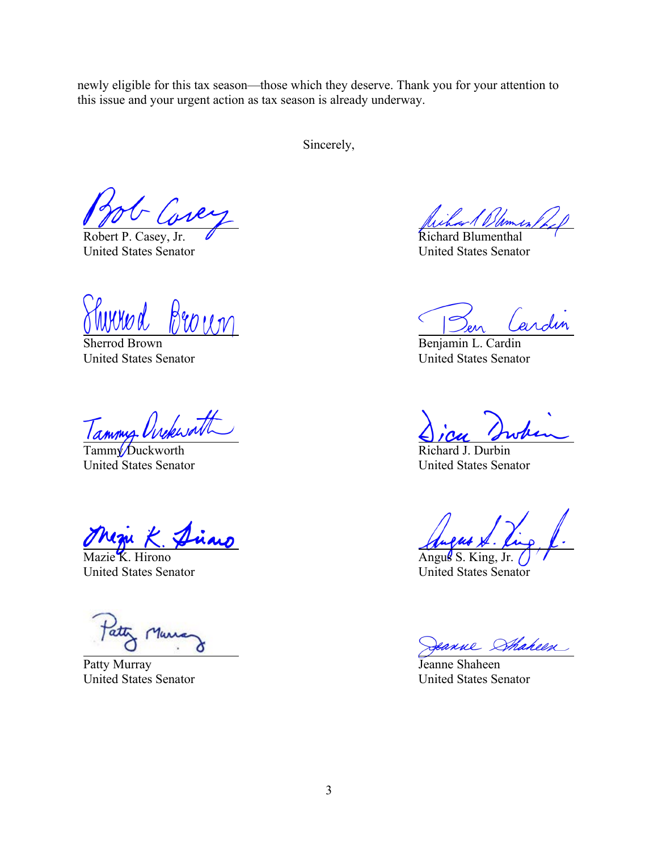newly eligible for this tax season—those which they deserve. Thank you for your attention to this issue and your urgent action as tax season is already underway.

Sincerely,

United States Senator United States Senator

Sherrod Brown Benjamin L. Cardin United States Senator United States Senator

Tammy Ovekwatt

Tammy/Duckworth Richard J. Durbin United States Senator United States Senator

Mazie K. Hirono Angus S. King, Jr. Angus S. King, Jr. Angus S. King, Jr. Angus S. King, Jr. Angus S. King, Jr. Angus S. King, Jr. Angus S. King, Jr. Angus S. King, Jr. Angus S. King, Jr. Angus S. King, Jr. Angus S. King, J

Patty Murray Jeanne Shaheen

ar 1 Blemen.

Robert P. Casey, Jr.  $\sqrt{ }$  Richard Blumenthal

United States Senator United States Senator

eanne Sthaheen

United States Senator United States Senator